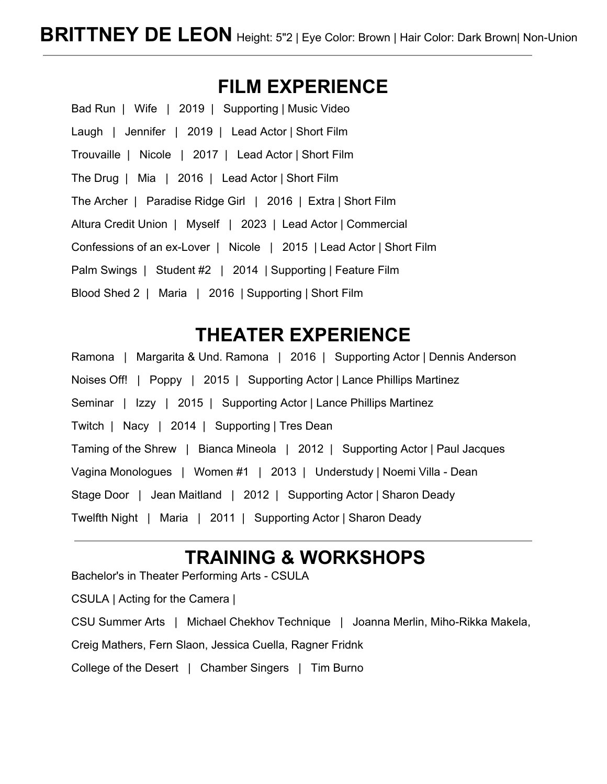#### **FILM EXPERIENCE**

Bad Run | Wife | 2019 | Supporting | Music Video Laugh | Jennifer | 2019 | Lead Actor | Short Film Trouvaille | Nicole | 2017 | Lead Actor | Short Film The Drug | Mia | 2016 | Lead Actor | Short Film The Archer | Paradise Ridge Girl | 2016 | Extra | Short Film Altura Credit Union | Myself | 2023 | Lead Actor | Commercial Confessions of an ex-Lover | Nicole | 2015 | Lead Actor | Short Film Palm Swings | Student #2 | 2014 | Supporting | Feature Film Blood Shed 2 | Maria | 2016 | Supporting | Short Film

#### **THEATER EXPERIENCE**

Ramona | Margarita & Und. Ramona | 2016 | Supporting Actor | Dennis Anderson Noises Off! | Poppy | 2015 | Supporting Actor | Lance Phillips Martinez Seminar | Izzy | 2015 | Supporting Actor | Lance Phillips Martinez Twitch | Nacy | 2014 | Supporting | Tres Dean Taming of the Shrew | Bianca Mineola | 2012 | Supporting Actor | Paul Jacques Vagina Monologues | Women #1 | 2013 | Understudy | Noemi Villa - Dean Stage Door | Jean Maitland | 2012 | Supporting Actor | Sharon Deady Twelfth Night | Maria | 2011 | Supporting Actor | Sharon Deady

### **TRAINING & WORKSHOPS**

Bachelor's in Theater Performing Arts - CSULA

CSULA | Acting for the Camera |

CSU Summer Arts | Michael Chekhov Technique | Joanna Merlin, Miho-Rikka Makela,

Creig Mathers, Fern Slaon, Jessica Cuella, Ragner Fridnk

College of the Desert | Chamber Singers | Tim Burno